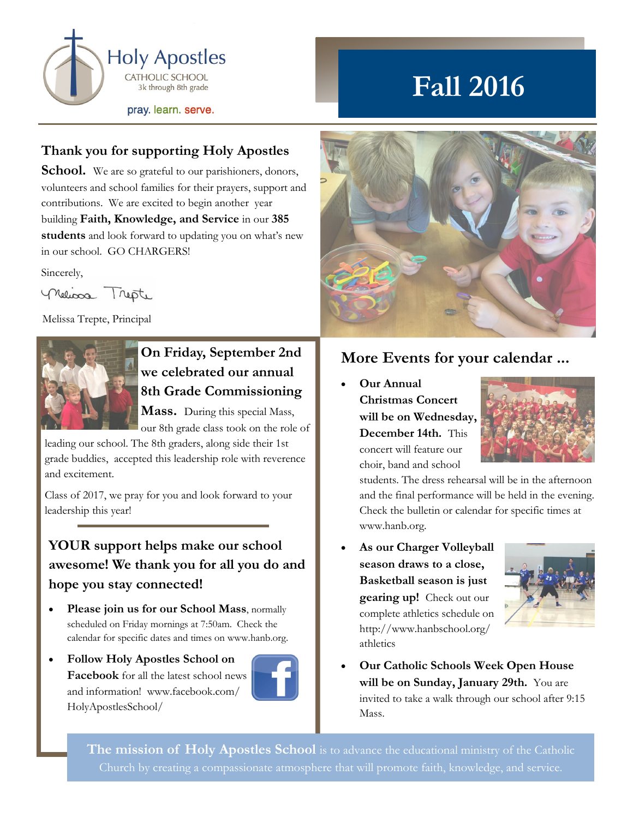

# **Fall 2016**

#### **Thank you for supporting Holy Apostles**

**School.** We are so grateful to our parishioners, donors, volunteers and school families for their prayers, support and contributions. We are excited to begin another year building **Faith, Knowledge, and Service** in our **385 students** and look forward to updating you on what's new in our school. GO CHARGERS!

Sincerely,

neliosa Trepte

Melissa Trepte, Principal



## **On Friday, September 2nd we celebrated our annual 8th Grade Commissioning**

**Mass.** During this special Mass, our 8th grade class took on the role of

leading our school. The 8th graders, along side their 1st grade buddies, accepted this leadership role with reverence and excitement.

Class of 2017, we pray for you and look forward to your leadership this year!

### **YOUR support helps make our school awesome! We thank you for all you do and hope you stay connected!**

- **Please join us for our School Mass**, normally scheduled on Friday mornings at 7:50am. Check the calendar for specific dates and times on www.hanb.org.
- **Follow Holy Apostles School on Facebook** for all the latest school news and information! www.facebook.com/ HolyApostlesSchool/





### **More Events for your calendar ...**

 **Our Annual Christmas Concert will be on Wednesday, December 14th.** This concert will feature our choir, band and school



students. The dress rehearsal will be in the afternoon and the final performance will be held in the evening. Check the bulletin or calendar for specific times at www.hanb.org.

 **As our Charger Volleyball season draws to a close, Basketball season is just gearing up!** Check out our complete athletics schedule on http://www.hanbschool.org/ athletics



 **Our Catholic Schools Week Open House will be on Sunday, January 29th.** You are invited to take a walk through our school after 9:15 Mass.

The mission of Holy Apostles School is to advance the educational ministry of the Catholic Church by creating a compassionate atmosphere that will promote faith, knowledge, and service.